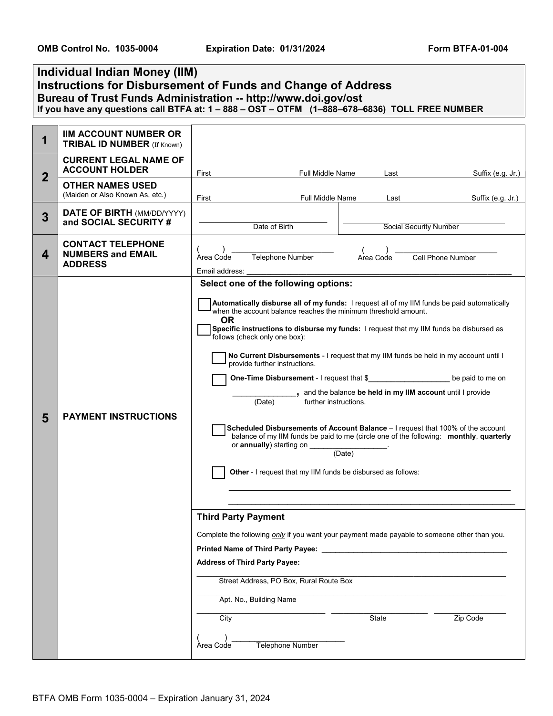## **Individual Indian Money (IIM) Instructions for Disbursement of Funds and Change of Address Bureau of Trust Funds Administration -- http://www.doi.gov/ost If you have any questions call BTFA at: 1 – 888 – OST – OTFM (1–888–678–6836) TOLL FREE NUMBER**

| 1              | <b>IIM ACCOUNT NUMBER OR</b><br><b>TRIBAL ID NUMBER</b> (If Known)     |                                                                                                                                                                                                                                                                                                                                                              |                                                                                                                                                                                                                    |           |                                                                                                                                                                                                                                                                                                                                                                                                                                                                                                                                                                                                                                                             |
|----------------|------------------------------------------------------------------------|--------------------------------------------------------------------------------------------------------------------------------------------------------------------------------------------------------------------------------------------------------------------------------------------------------------------------------------------------------------|--------------------------------------------------------------------------------------------------------------------------------------------------------------------------------------------------------------------|-----------|-------------------------------------------------------------------------------------------------------------------------------------------------------------------------------------------------------------------------------------------------------------------------------------------------------------------------------------------------------------------------------------------------------------------------------------------------------------------------------------------------------------------------------------------------------------------------------------------------------------------------------------------------------------|
| $\overline{2}$ | <b>CURRENT LEGAL NAME OF</b><br><b>ACCOUNT HOLDER</b>                  | First                                                                                                                                                                                                                                                                                                                                                        | <b>Full Middle Name</b>                                                                                                                                                                                            | Last      | Suffix (e.g. Jr.)                                                                                                                                                                                                                                                                                                                                                                                                                                                                                                                                                                                                                                           |
|                | <b>OTHER NAMES USED</b><br>(Maiden or Also Known As, etc.)             | Full Middle Name<br>First                                                                                                                                                                                                                                                                                                                                    |                                                                                                                                                                                                                    | Last      | Suffix (e.g. Jr.)                                                                                                                                                                                                                                                                                                                                                                                                                                                                                                                                                                                                                                           |
| 3              | <b>DATE OF BIRTH (MM/DD/YYYY)</b><br>and SOCIAL SECURITY #             | Date of Birth<br>Social Security Number                                                                                                                                                                                                                                                                                                                      |                                                                                                                                                                                                                    |           |                                                                                                                                                                                                                                                                                                                                                                                                                                                                                                                                                                                                                                                             |
| 4              | <b>CONTACT TELEPHONE</b><br><b>NUMBERS and EMAIL</b><br><b>ADDRESS</b> | Telephone Number<br>Area Code<br>Email address:                                                                                                                                                                                                                                                                                                              |                                                                                                                                                                                                                    | Area Code | Cell Phone Number                                                                                                                                                                                                                                                                                                                                                                                                                                                                                                                                                                                                                                           |
| 5              | <b>PAYMENT INSTRUCTIONS</b>                                            | Select one of the following options:<br>when the account balance reaches the minimum threshold amount.<br><b>OR</b><br>follows (check only one box):<br>provide further instructions.<br>(Date)<br>or <b>annually</b> ) starting on __<br><b>Third Party Payment</b><br><b>Address of Third Party Payee:</b><br>Apt. No., Building Name<br>City<br>Area Code | One-Time Disbursement - I request that \$<br>further instructions.<br>(Date)<br>Other - I request that my IIM funds be disbursed as follows:<br>Street Address, PO Box, Rural Route Box<br><b>Telephone Number</b> | State     | Automatically disburse all of my funds: I request all of my IIM funds be paid automatically<br>Specific instructions to disburse my funds: I request that my IIM funds be disbursed as<br>No Current Disbursements - I request that my IIM funds be held in my account until I<br>be paid to me on<br>_, and the balance be held in my IIM account until I provide<br>Scheduled Disbursements of Account Balance - I request that 100% of the account<br>balance of my IIM funds be paid to me (circle one of the following: monthly, quarterly<br>Complete the following only if you want your payment made payable to someone other than you.<br>Zip Code |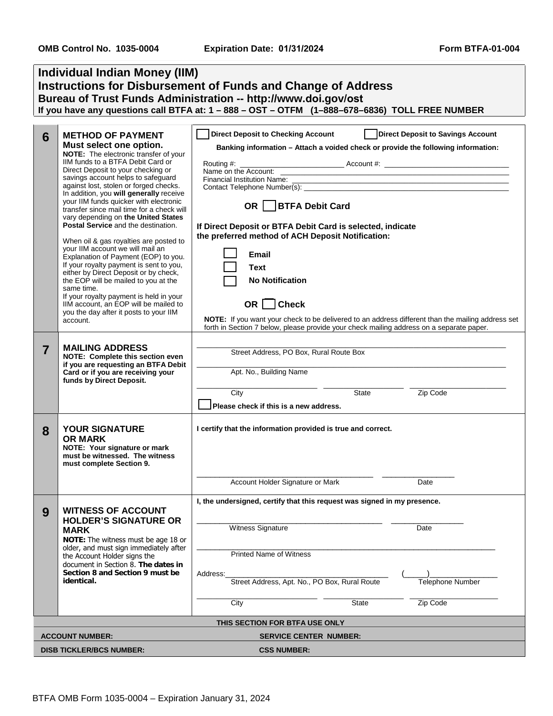| <b>Individual Indian Money (IIM)</b>                                                                                                  |                                                                                                                                                                                                                                                                                                                                                                                                                                                                                                                                                                                                                                                                                                                                                                                                                                                                                   |                                                                                                                                                                                                                                                                                                                                                                                                                                                                                                                                                                                                                                                       |  |  |  |  |  |  |
|---------------------------------------------------------------------------------------------------------------------------------------|-----------------------------------------------------------------------------------------------------------------------------------------------------------------------------------------------------------------------------------------------------------------------------------------------------------------------------------------------------------------------------------------------------------------------------------------------------------------------------------------------------------------------------------------------------------------------------------------------------------------------------------------------------------------------------------------------------------------------------------------------------------------------------------------------------------------------------------------------------------------------------------|-------------------------------------------------------------------------------------------------------------------------------------------------------------------------------------------------------------------------------------------------------------------------------------------------------------------------------------------------------------------------------------------------------------------------------------------------------------------------------------------------------------------------------------------------------------------------------------------------------------------------------------------------------|--|--|--|--|--|--|
| <b>Instructions for Disbursement of Funds and Change of Address</b><br>Bureau of Trust Funds Administration -- http://www.doi.gov/ost |                                                                                                                                                                                                                                                                                                                                                                                                                                                                                                                                                                                                                                                                                                                                                                                                                                                                                   |                                                                                                                                                                                                                                                                                                                                                                                                                                                                                                                                                                                                                                                       |  |  |  |  |  |  |
|                                                                                                                                       |                                                                                                                                                                                                                                                                                                                                                                                                                                                                                                                                                                                                                                                                                                                                                                                                                                                                                   | If you have any questions call BTFA at: 1 - 888 - OST - OTFM (1-888-678-6836) TOLL FREE NUMBER                                                                                                                                                                                                                                                                                                                                                                                                                                                                                                                                                        |  |  |  |  |  |  |
| 6                                                                                                                                     | <b>METHOD OF PAYMENT</b><br>Must select one option.<br>NOTE: The electronic transfer of your<br>IIM funds to a BTFA Debit Card or<br>Direct Deposit to your checking or<br>savings account helps to safeguard<br>against lost, stolen or forged checks.<br>In addition, you will generally receive<br>your IIM funds quicker with electronic<br>transfer since mail time for a check will<br>vary depending on the United States<br>Postal Service and the destination.<br>When oil & gas royalties are posted to<br>your IIM account we will mail an<br>Explanation of Payment (EOP) to you.<br>If your royalty payment is sent to you,<br>either by Direct Deposit or by check,<br>the EOP will be mailed to you at the<br>same time.<br>If your royalty payment is held in your<br>IIM account, an EOP will be mailed to<br>you the day after it posts to your IIM<br>account. | <b>Direct Deposit to Checking Account</b><br>  Direct Deposit to Savings Account<br>Banking information - Attach a voided check or provide the following information:<br>Financial Institution Name:<br>Contact Telephone Number(s):<br>OR   BTFA Debit Card<br>If Direct Deposit or BTFA Debit Card is selected, indicate<br>the preferred method of ACH Deposit Notification:<br>Email<br><b>Text</b><br><b>No Notification</b><br>OR $\Box$ Check<br>NOTE: If you want your check to be delivered to an address different than the mailing address set<br>forth in Section 7 below, please provide your check mailing address on a separate paper. |  |  |  |  |  |  |
| $\overline{7}$                                                                                                                        | <b>MAILING ADDRESS</b><br>NOTE: Complete this section even<br>if you are requesting an BTFA Debit<br>Card or if you are receiving your<br>funds by Direct Deposit.                                                                                                                                                                                                                                                                                                                                                                                                                                                                                                                                                                                                                                                                                                                | Street Address, PO Box, Rural Route Box<br>Apt. No., Building Name<br>State<br>Zip Code<br>City<br>Please check if this is a new address.                                                                                                                                                                                                                                                                                                                                                                                                                                                                                                             |  |  |  |  |  |  |
| 8                                                                                                                                     | <b>YOUR SIGNATURE</b><br><b>OR MARK</b><br>NOTE: Your signature or mark<br>must be witnessed. The witness<br>must complete Section 9.                                                                                                                                                                                                                                                                                                                                                                                                                                                                                                                                                                                                                                                                                                                                             | I certify that the information provided is true and correct.<br>Account Holder Signature or Mark<br>Date                                                                                                                                                                                                                                                                                                                                                                                                                                                                                                                                              |  |  |  |  |  |  |
| I, the undersigned, certify that this request was signed in my presence.                                                              |                                                                                                                                                                                                                                                                                                                                                                                                                                                                                                                                                                                                                                                                                                                                                                                                                                                                                   |                                                                                                                                                                                                                                                                                                                                                                                                                                                                                                                                                                                                                                                       |  |  |  |  |  |  |
| 9                                                                                                                                     | <b>WITNESS OF ACCOUNT</b><br><b>HOLDER'S SIGNATURE OR</b><br><b>MARK</b><br>NOTE: The witness must be age 18 or<br>older, and must sign immediately after<br>the Account Holder signs the<br>document in Section 8. The dates in<br>Section 8 and Section 9 must be<br>identical.                                                                                                                                                                                                                                                                                                                                                                                                                                                                                                                                                                                                 | Witness Signature<br>Date<br><b>Printed Name of Witness</b>                                                                                                                                                                                                                                                                                                                                                                                                                                                                                                                                                                                           |  |  |  |  |  |  |
|                                                                                                                                       |                                                                                                                                                                                                                                                                                                                                                                                                                                                                                                                                                                                                                                                                                                                                                                                                                                                                                   | Address:<br>Street Address, Apt. No., PO Box, Rural Route<br>Telephone Number                                                                                                                                                                                                                                                                                                                                                                                                                                                                                                                                                                         |  |  |  |  |  |  |
|                                                                                                                                       |                                                                                                                                                                                                                                                                                                                                                                                                                                                                                                                                                                                                                                                                                                                                                                                                                                                                                   | Zip Code<br>City<br><b>State</b>                                                                                                                                                                                                                                                                                                                                                                                                                                                                                                                                                                                                                      |  |  |  |  |  |  |
| THIS SECTION FOR BTFA USE ONLY                                                                                                        |                                                                                                                                                                                                                                                                                                                                                                                                                                                                                                                                                                                                                                                                                                                                                                                                                                                                                   |                                                                                                                                                                                                                                                                                                                                                                                                                                                                                                                                                                                                                                                       |  |  |  |  |  |  |
| <b>ACCOUNT NUMBER:</b><br><b>SERVICE CENTER NUMBER:</b>                                                                               |                                                                                                                                                                                                                                                                                                                                                                                                                                                                                                                                                                                                                                                                                                                                                                                                                                                                                   |                                                                                                                                                                                                                                                                                                                                                                                                                                                                                                                                                                                                                                                       |  |  |  |  |  |  |
| <b>DISB TICKLER/BCS NUMBER:</b><br><b>CSS NUMBER:</b>                                                                                 |                                                                                                                                                                                                                                                                                                                                                                                                                                                                                                                                                                                                                                                                                                                                                                                                                                                                                   |                                                                                                                                                                                                                                                                                                                                                                                                                                                                                                                                                                                                                                                       |  |  |  |  |  |  |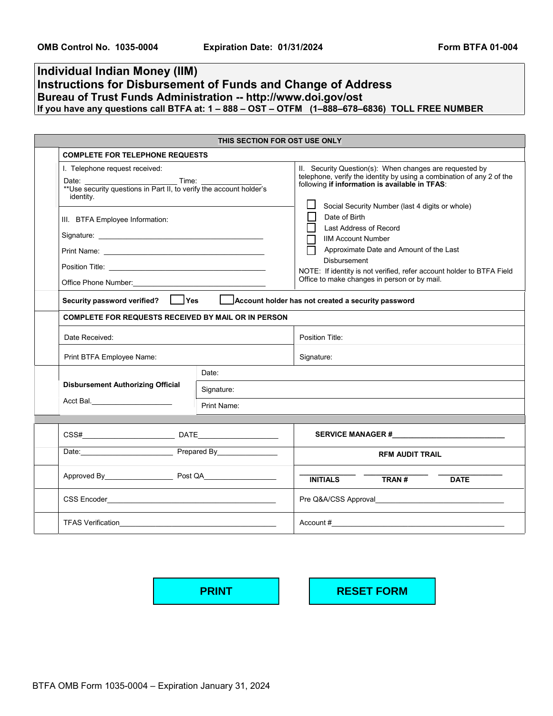## **Individual Indian Money (IIM) Instructions for Disbursement of Funds and Change of Address Bureau of Trust Funds Administration -- http://www.doi.gov/ost If you have any questions call BTFA at: 1 – 888 – OST – OTFM (1–888–678–6836) TOLL FREE NUMBER**

| THIS SECTION FOR OST USE ONLY |                                                                                         |             |                                                                                                                                                                                                                                       |  |  |  |  |
|-------------------------------|-----------------------------------------------------------------------------------------|-------------|---------------------------------------------------------------------------------------------------------------------------------------------------------------------------------------------------------------------------------------|--|--|--|--|
|                               | <b>COMPLETE FOR TELEPHONE REQUESTS</b>                                                  |             |                                                                                                                                                                                                                                       |  |  |  |  |
|                               | I. Telephone request received:<br>Time:<br>identity.                                    |             | II. Security Question(s): When changes are requested by<br>telephone, verify the identity by using a combination of any 2 of the<br>following if information is available in TFAS:<br>Social Security Number (last 4 digits or whole) |  |  |  |  |
|                               | III. BTFA Employee Information:                                                         |             | Date of Birth<br>Last Address of Record<br><b>IIM Account Number</b>                                                                                                                                                                  |  |  |  |  |
|                               |                                                                                         |             | Approximate Date and Amount of the Last                                                                                                                                                                                               |  |  |  |  |
|                               |                                                                                         |             | <b>Disbursement</b><br>NOTE: If identity is not verified, refer account holder to BTFA Field                                                                                                                                          |  |  |  |  |
|                               | Office Phone Number: <u>Communication of the Communication</u>                          |             | Office to make changes in person or by mail.                                                                                                                                                                                          |  |  |  |  |
|                               | Security password verified?   Yes<br>Account holder has not created a security password |             |                                                                                                                                                                                                                                       |  |  |  |  |
|                               | <b>COMPLETE FOR REQUESTS RECEIVED BY MAIL OR IN PERSON</b>                              |             |                                                                                                                                                                                                                                       |  |  |  |  |
|                               | Date Received:                                                                          |             | Position Title:                                                                                                                                                                                                                       |  |  |  |  |
|                               | Print BTFA Employee Name:                                                               |             | Signature:                                                                                                                                                                                                                            |  |  |  |  |
|                               |                                                                                         | Date:       |                                                                                                                                                                                                                                       |  |  |  |  |
|                               | <b>Disbursement Authorizing Official</b>                                                | Signature:  |                                                                                                                                                                                                                                       |  |  |  |  |
|                               | Acct Bal. ________________________                                                      | Print Name: |                                                                                                                                                                                                                                       |  |  |  |  |
|                               |                                                                                         |             |                                                                                                                                                                                                                                       |  |  |  |  |
|                               |                                                                                         |             | SERVICE MANAGER #                                                                                                                                                                                                                     |  |  |  |  |
|                               | Date: Prepared By                                                                       |             | <b>RFM AUDIT TRAIL</b>                                                                                                                                                                                                                |  |  |  |  |
|                               | Approved By Post QA Proved By                                                           |             | <b>INITIALS</b><br>TRAN#<br><b>DATE</b>                                                                                                                                                                                               |  |  |  |  |
|                               |                                                                                         |             |                                                                                                                                                                                                                                       |  |  |  |  |
|                               |                                                                                         |             | $\mathsf{Account}~\#$                                                                                                                                                                                                                 |  |  |  |  |

**PRINT RESET FORM**